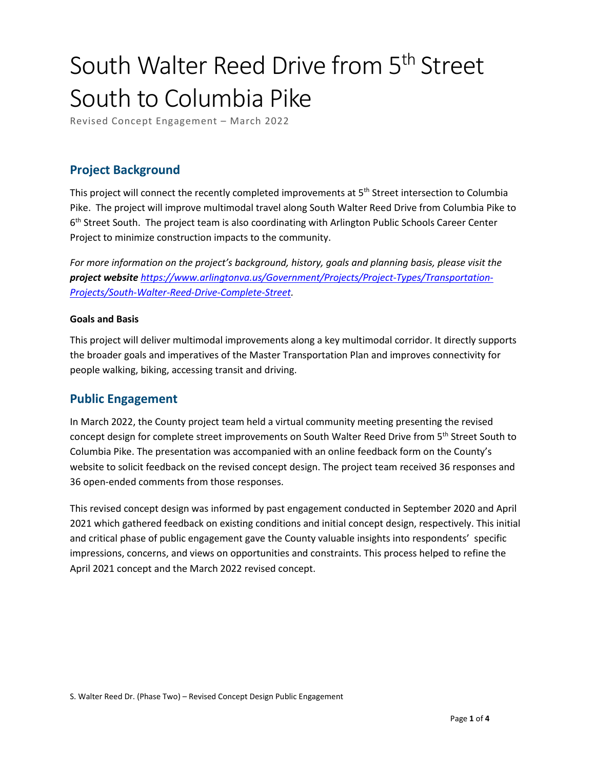# South Walter Reed Drive from 5<sup>th</sup> Street South to Columbia Pike

Revised Concept Engagement – March 2022

### **Project Background**

This project will connect the recently completed improvements at 5<sup>th</sup> Street intersection to Columbia Pike. The project will improve multimodal travel along South Walter Reed Drive from Columbia Pike to 6<sup>th</sup> Street South. The project team is also coordinating with Arlington Public Schools Career Center Project to minimize construction impacts to the community.

*For more information on the project's background, history, goals and planning basis, please visit the project website [https://www.arlingtonva.us/Government/Projects/Project-Types/Transportation-](https://www.arlingtonva.us/Government/Projects/Project-Types/Transportation-Projects/South-Walter-Reed-Drive-Complete-Street)[Projects/South-Walter-Reed-Drive-Complete-Street.](https://www.arlingtonva.us/Government/Projects/Project-Types/Transportation-Projects/South-Walter-Reed-Drive-Complete-Street)* 

#### **Goals and Basis**

This project will deliver multimodal improvements along a key multimodal corridor. It directly supports the broader goals and imperatives of the Master Transportation Plan and improves connectivity for people walking, biking, accessing transit and driving.

#### **Public Engagement**

In March 2022, the County project team held a virtual community meeting presenting the revised concept design for complete street improvements on South Walter Reed Drive from 5<sup>th</sup> Street South to Columbia Pike. The presentation was accompanied with an online feedback form on the County's website to solicit feedback on the revised concept design. The project team received 36 responses and 36 open-ended comments from those responses.

This revised concept design was informed by past engagement conducted in September 2020 and April 2021 which gathered feedback on existing conditions and initial concept design, respectively. This initial and critical phase of public engagement gave the County valuable insights into respondents' specific impressions, concerns, and views on opportunities and constraints. This process helped to refine the April 2021 concept and the March 2022 revised concept.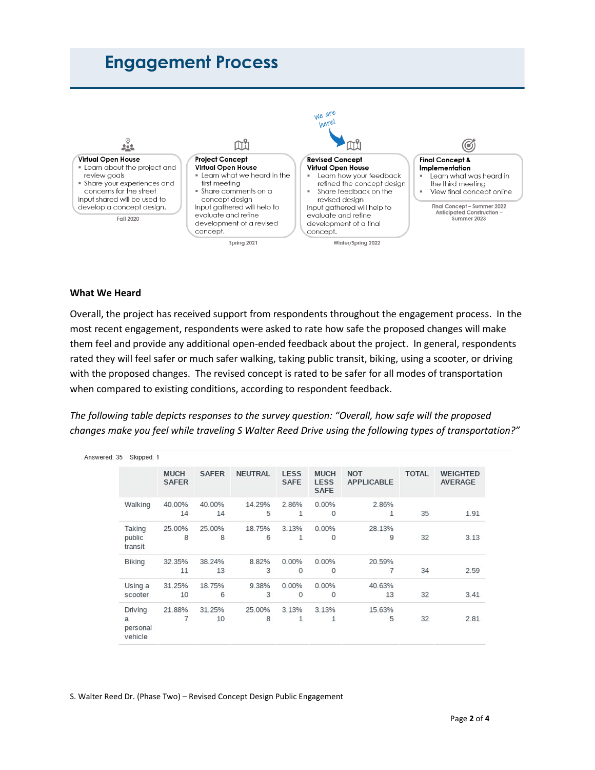# **Engagement Process**



#### **What We Heard**

Overall, the project has received support from respondents throughout the engagement process. In the most recent engagement, respondents were asked to rate how safe the proposed changes will make them feel and provide any additional open-ended feedback about the project. In general, respondents rated they will feel safer or much safer walking, taking public transit, biking, using a scooter, or driving with the proposed changes. The revised concept is rated to be safer for all modes of transportation when compared to existing conditions, according to respondent feedback.

*The following table depicts responses to the survey question: "Overall, how safe will the proposed changes make you feel while traveling S Walter Reed Drive using the following types of transportation?"* 

| Answered: 35 | Skipped: 1                                     |                             |              |                |                     |                                           |                                 |              |                                   |
|--------------|------------------------------------------------|-----------------------------|--------------|----------------|---------------------|-------------------------------------------|---------------------------------|--------------|-----------------------------------|
|              |                                                | <b>MUCH</b><br><b>SAFER</b> | <b>SAFER</b> | <b>NEUTRAL</b> | LESS<br><b>SAFE</b> | <b>MUCH</b><br><b>LESS</b><br><b>SAFE</b> | <b>NOT</b><br><b>APPLICABLE</b> | <b>TOTAL</b> | <b>WEIGHTED</b><br><b>AVERAGE</b> |
|              | Walking                                        | 40.00%<br>14                | 40.00%<br>14 | 14.29%<br>5    | 2.86%<br>1          | $0.00\%$<br>$\circ$                       | 2.86%<br>1                      | 35           | 1.91                              |
|              | Taking<br>public<br>transit                    | 25.00%<br>8                 | 25.00%<br>8  | 18.75%<br>6    | 3.13%<br>1          | 0.00%<br>0                                | 28.13%<br>9                     | 32           | 3.13                              |
|              | <b>Biking</b>                                  | 32.35%<br>11                | 38.24%<br>13 | 8.82%<br>3     | 0.00%<br>$\circ$    | 0.00%<br>$\circ$                          | 20.59%<br>7                     | 34           | 2.59                              |
|              | Using a<br>scooter                             | 31.25%<br>10                | 18.75%<br>6  | 9.38%<br>3     | 0.00%<br>$\circ$    | 0.00%<br>$\circ$                          | 40.63%<br>13                    | 32           | 3.41                              |
|              | Driving<br>$\mathbf{a}$<br>personal<br>vehicle | 21.88%<br>7                 | 31.25%<br>10 | 25.00%<br>8    | 3.13%<br>1          | 3.13%<br>1                                | 15.63%<br>5                     | 32           | 2.81                              |

S. Walter Reed Dr. (Phase Two) – Revised Concept Design Public Engagement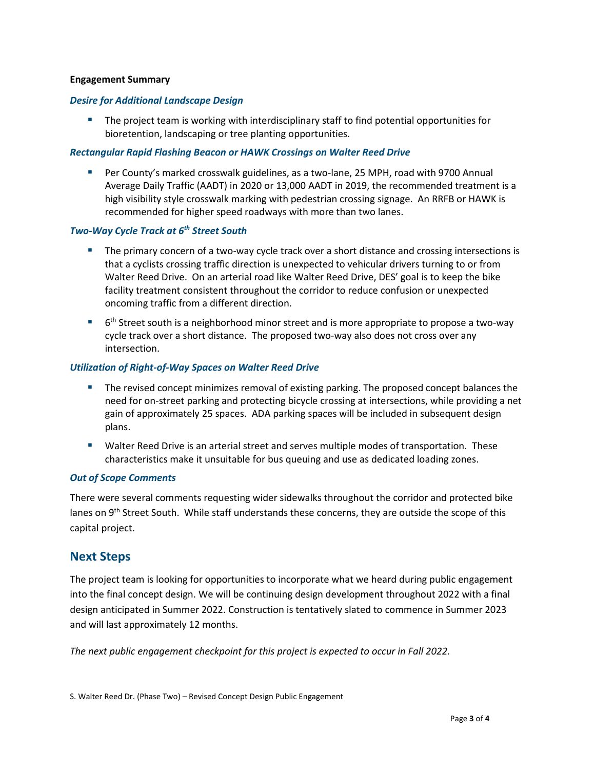#### **Engagement Summary**

#### *Desire for Additional Landscape Design*

 The project team is working with interdisciplinary staff to find potential opportunities for bioretention, landscaping or tree planting opportunities.

#### *Rectangular Rapid Flashing Beacon or HAWK Crossings on Walter Reed Drive*

 Per County's marked crosswalk guidelines, as a two-lane, 25 MPH, road with 9700 Annual Average Daily Traffic (AADT) in 2020 or 13,000 AADT in 2019, the recommended treatment is a high visibility style crosswalk marking with pedestrian crossing signage. An RRFB or HAWK is recommended for higher speed roadways with more than two lanes.

#### *Two-Way Cycle Track at 6th Street South*

- **The primary concern of a two-way cycle track over a short distance and crossing intersections is** that a cyclists crossing traffic direction is unexpected to vehicular drivers turning to or from Walter Reed Drive. On an arterial road like Walter Reed Drive, DES' goal is to keep the bike facility treatment consistent throughout the corridor to reduce confusion or unexpected oncoming traffic from a different direction.
- $\blacksquare$  6<sup>th</sup> Street south is a neighborhood minor street and is more appropriate to propose a two-way cycle track over a short distance. The proposed two-way also does not cross over any intersection.

#### *Utilization of Right-of-Way Spaces on Walter Reed Drive*

- The revised concept minimizes removal of existing parking. The proposed concept balances the need for on-street parking and protecting bicycle crossing at intersections, while providing a net gain of approximately 25 spaces. ADA parking spaces will be included in subsequent design plans.
- Walter Reed Drive is an arterial street and serves multiple modes of transportation. These characteristics make it unsuitable for bus queuing and use as dedicated loading zones.

#### *Out of Scope Comments*

There were several comments requesting wider sidewalks throughout the corridor and protected bike lanes on 9<sup>th</sup> Street South. While staff understands these concerns, they are outside the scope of this capital project.

#### **Next Steps**

The project team is looking for opportunities to incorporate what we heard during public engagement into the final concept design. We will be continuing design development throughout 2022 with a final design anticipated in Summer 2022. Construction is tentatively slated to commence in Summer 2023 and will last approximately 12 months.

*The next public engagement checkpoint for this project is expected to occur in Fall 2022.*

S. Walter Reed Dr. (Phase Two) – Revised Concept Design Public Engagement